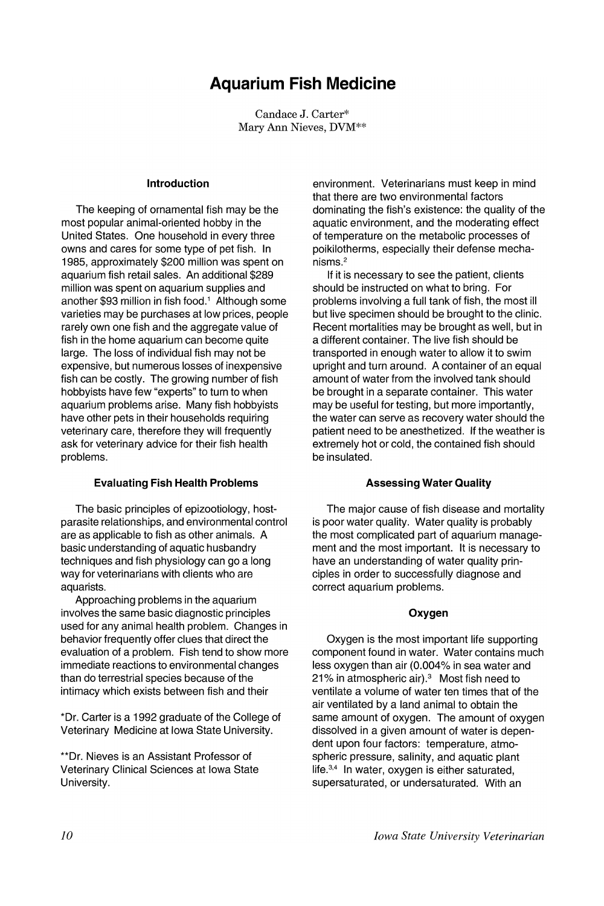# **Aquarium Fish Medicine**

Candace J. Carter\* Mary Ann Nieves, DVM\*\*

# **Introduction**

The keeping of ornamental fish may be the most popular animal-oriented hobby in the United States. One household in every three owns and cares for some type of pet fish. In 1985, approximately \$200 million was spent on aquarium fish retail sales. An additional \$289 rnillion was spent on aquarium supplies and another \$93 million in fish food.<sup>1</sup> Although some varieties may be purchases at low prices, people rarely own one fish and the aggregate value of fish in the home aquarium can become quite large. The loss of individual fish may not be expensive, but numerous losses of inexpensive fish can be costly. The growing number of fish hobbyists have few "experts" to turn to when aquarium problems arise. Many fish hobbyists have other pets in their households requiring veterinary care, therefore they will frequently ask for veterinary advice for their fish health problems.

# **Evaluating Fish Health Problems**

The basic principles of epizootiology, hostparasite relationships, and environmental control are as applicable to fish as other animals. A basic understanding of aquatic husbandry techniques and fish physiology can go a long way for veterinarians with clients who are aquarists.

Approaching problems in the aquarium involves the same basic diagnostic principles used for any animal health problem. Changes in behavior frequently offer clues that direct the evaluation of a problem. Fish tend to show more immediate reactions to environmental changes than do terrestrial species because of the intimacy which exists between fish and their

\*Dr. Carter is a 1992 graduate of the College of Veterinary Medicine at Iowa State University.

\*\*Dr. Nieves is an Assistant Professor of Veterinary Clinical Sciences at Iowa State University.

environment. Veterinarians must keep in mind that there are two environmental factors dominating the fish's existence: the quality of the aquatic environment, and the moderating effect of temperature on the metabolic processes of poikilotherms, especially their defense mechanisms.<sup>2</sup>

If it is necessary to see the patient, clients should be instructed on what to bring. For problems involving a full tank of fish, the most ill but live specimen should be brought to the clinic. Recent mortalities may be brought as well, but in a different container. The live fish should be transported in enough water to allow it to swim upright and turn around. A container of an equal amount of water from the involved tank should be brought in a separate container. This water may be useful for testing, but more importantly, the water can serve as recovery water should the patient need to be anesthetized. If the weather is extremely hot or cold, the contained fish should be insulated.

# **Assessing Water Quality**

The major cause of fish disease and mortality is poor water quality. Water quality is probably the most complicated part of aquarium management and the most important. It is necessary to have an understanding of water quality principles in order to successfully diagnose and correct aquarium problems.

# **Oxygen**

Oxygen is the most important life supporting component found in water. Water contains much less oxygen than air (0.004% in sea water and 21% in atmospheric air).<sup>3</sup> Most fish need to ventilate a volume of water ten times that of the air ventilated by a land animal to obtain the same amount of oxygen. The amount of oxygen dissolved in a given amount of water is dependent upon four factors: temperature, atmospheric pressure, salinity, and aquatic plant  $l$ ife. $3,4$  In water, oxygen is either saturated, supersaturated, or undersaturated. With an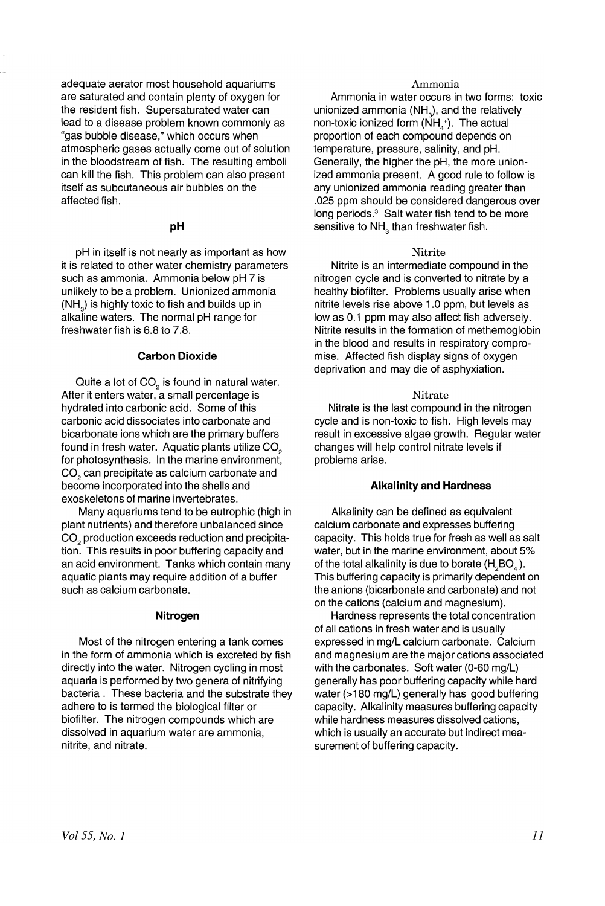adequate aerator most household aquariums are saturated and contain plenty of oxygen for the resident fish. Supersaturated water can lead to a disease problem known commonly as "gas bubble disease," which occurs when atmospheric gases actually come out of solution in the bloodstream of fish. The resulting emboli can kill the fish. This problem can also present itself as subcutaneous air bubbles on the affected fish.

#### **pH**

pH in itself is not nearly as important as how it is related to other water chemistry parameters such as ammonia. Ammonia below pH 7 is unlikely to be a problem. Unionized ammonia (NH $_{\rm_3}$ ) is highly toxic to fish and builds up in alkaline waters. The normal pH range for freshwater fish is 6.8 to 7.8.

#### **Carbon Dioxide**

Quite a lot of CO<sub>2</sub> is found in natural water. After it enters water, a small percentage is hydrated into carbonic acid. Some of this carbonic acid dissociates into carbonate and bicarbonate ions which are the primary buffers found in fresh water. Aquatic plants utilize CO<sub>2</sub> for photosynthesis. In the marine environment, CO<sub>2</sub> can precipitate as calcium carbonate and become incorporated into the shells and exoskeletons of marine invertebrates.

Many aquariums tend to be eutrophic (high in plant nutrients) and therefore unbalanced since CO<sub>2</sub> production exceeds reduction and precipitation. This results in poor buffering capacity and an acid environment. Tanks which contain many aquatic plants may require addition of a buffer such as calcium carbonate.

#### **Nitrogen**

Most of the nitrogen entering a tank comes in the form of ammonia which is excreted by fish directly into the water. Nitrogen cycling in most aquaria is performed by two genera of nitrifying bacteria. These bacteria and the substrate they adhere to is termed the biological filter or biofilter. The nitrogen compounds which are dissolved in aquarium water are ammonia, nitrite, and nitrate.

# Ammonia

Ammonia in water occurs in two forms: toxic unionized ammonia  $(NH<sub>3</sub>)$ , and the relatively non-toxic ionized form (NH $_4^{\text{+}}$ ). The actual proportion of each compound depends on temperature, pressure, salinity, and pH. Generally, the higher the pH, the more unionized ammonia present. A good rule to follow is any unionized ammonia reading greater than .025 ppm should be considered dangerous over long periods.<sup>3</sup> Salt water fish tend to be more sensitive to NH<sub>3</sub> than freshwater fish.

#### Nitrite

Nitrite is an intermediate compound in the nitrogen cycle and is converted to nitrate by a healthy biofilter. Problems usually arise when nitrite levels rise above 1.0 ppm, but levels as low as 0.1 ppm may also affect fish adversely. Nitrite results in the formation of methemogiobin in the blood and results in respiratory compromise. Affected fish display signs of oxygen deprivation and may die of asphyxiation.

#### Nitrate

Nitrate is the last compound in the nitrogen cycle and is non-toxic to fish. High levels may result in excessive algae growth. Regular water changes will help control nitrate levels if problems arise.

#### **Alkalinity and Hardness**

Alkalinity can be defined as equivalent calcium carbonate and expresses buffering capacity. This holds true for fresh as well as salt water, but in the marine environment, about 5% of the total alkalinity is due to borate  $(\mathsf{H}_{_2}\mathsf{BO}_{_4}).$ This buffering capacity is primarily dependent on the anions (bicarbonate and carbonate) and not on the cations (calcium and magnesium).

Hardness represents the total concentration of all cations in fresh water and is usually expressed in mg/L calcium carbonate. Calcium and magnesium are the major cations associated with the carbonates. Soft water (0-60 mg/L) generally has poor buffering capacity while hard water (>180 mg/L) generally has good buffering capacity. Alkalinity measures buffering capacity while hardness measures dissolved cations, which is usually an accurate but indirect measurement of buffering capacity.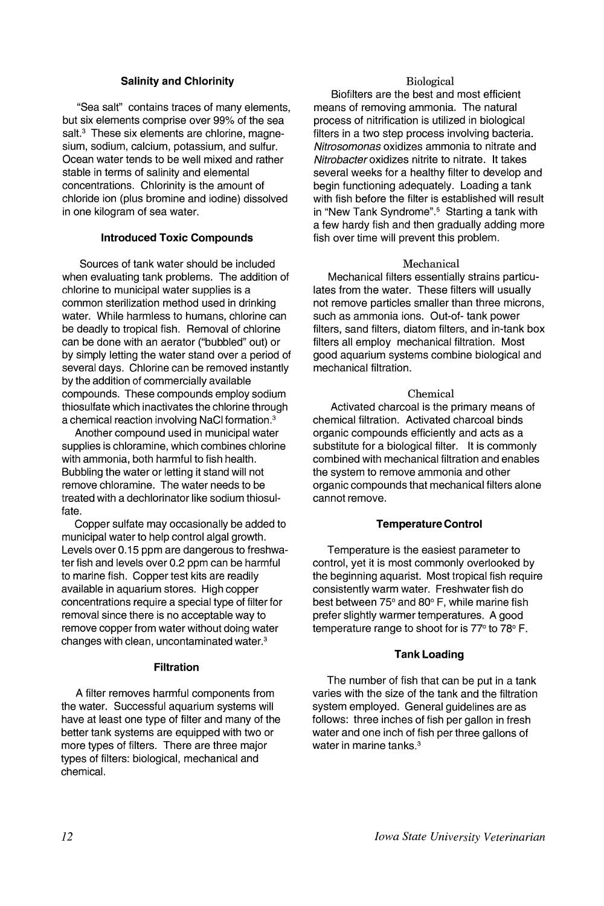# **Salinity and Chlorinity**

"Sea salt" contains traces of many elements, but six elements comprise over 99% of the sea salt. $3$  These six elements are chlorine, magnesium, sodium, calcium, potassium, and sulfur. Ocean water tends to be well mixed and rather stable in terms of salinity and elemental concentrations. Chlorinity is the amount of chloride ion (plus bromine and iodine) dissolved in one kilogram of sea water.

# **Introduced Toxic Compounds**

Sources of tank water should be included when evaluating tank problems. The addition of chlorine to municipal water supplies is a common sterilization method used in drinking water. While harmless to humans, chlorine can be deadly to tropical fish. Removal of chlorine can be done with an aerator ("bubbled" out) or by simply letting the water stand over a period of several days. Chlorine can be removed instantly by the addition of commercially available compounds. These compounds employ sodium thiosulfate which inactivates the chlorine through a chemical reaction involving NaCI formation. <sup>3</sup>

Another compound used in municipal water supplies is chloramine, which combines chlorine with ammonia, both harmful to fish health. Bubbling the water or letting it stand will not remove chloramine. The water needs to be treated with a dechlorinator like sodium thiosulfate.

Copper sulfate may occasionally be added to municipal water to help control algal growth. Levels over 0.15 ppm are dangerous to freshwater fish and levels over 0.2 ppm can be harmful to marine fish. Copper test kits are readily available in aquarium stores. High copper concentrations require a special type of filter for removal since there is no acceptable way to remove copper from water without doing water changes with clean, uncontaminated water.<sup>3</sup>

#### **Filtration**

A filter removes harmful components from the water. Successful aquarium systems will have at least one type of filter and many of the better tank systems are equipped with two or more types of filters. There are three major types of filters: biological, mechanical and chemical.

# Biological

Biofilters are the best and most efficient means of removing ammonia. The natural process of nitrification is utilized in biological filters in a two step process involving bacteria. Nitrosomonas oxidizes ammonia to nitrate and Nitrobacter oxidizes nitrite to nitrate. It takes several weeks for a healthy filter to develop and begin functioning adequately. Loading a tank with fish before the filter is established will result in "New Tank Syndrome".<sup>5</sup> Starting a tank with a few hardy fish and then gradually adding more fish over time will prevent this problem.

#### Mechanical

Mechanical filters essentially strains particulates from the water. These filters will usually not remove particles smaller than three microns, such as ammonia ions. Out-of- tank power filters, sand filters, diatom filters, and in-tank box filters all employ mechanical filtration. Most good aquarium systems combine biological and mechanical filtration.

# Chemical

Activated charcoal is the primary means of chemical filtration. Activated charcoal binds organic compounds efficiently and acts as a substitute for a biological filter. It is commonly combined with mechanical filtration and enables the system to remove ammonia and other organic compounds that mechanical filters alone cannot remove.

#### **Temperature Control**

Temperature is the easiest parameter to control, yet it is most commonly overlooked by the beginning aquarist. Most tropical fish require consistently warm water. Freshwater fish do best between 75° and 80° F, while marine fish prefer slightly warmer temperatures. A good temperature range to shoot for is 77° to 78° F.

#### **Tank Loading**

The number of fish that can be put in a tank varies with the size of the tank and the filtration system employed. General guidelines are as follows: three inches of fish per gallon in fresh water and one inch of fish per three gallons of water in marine tanks.<sup>3</sup>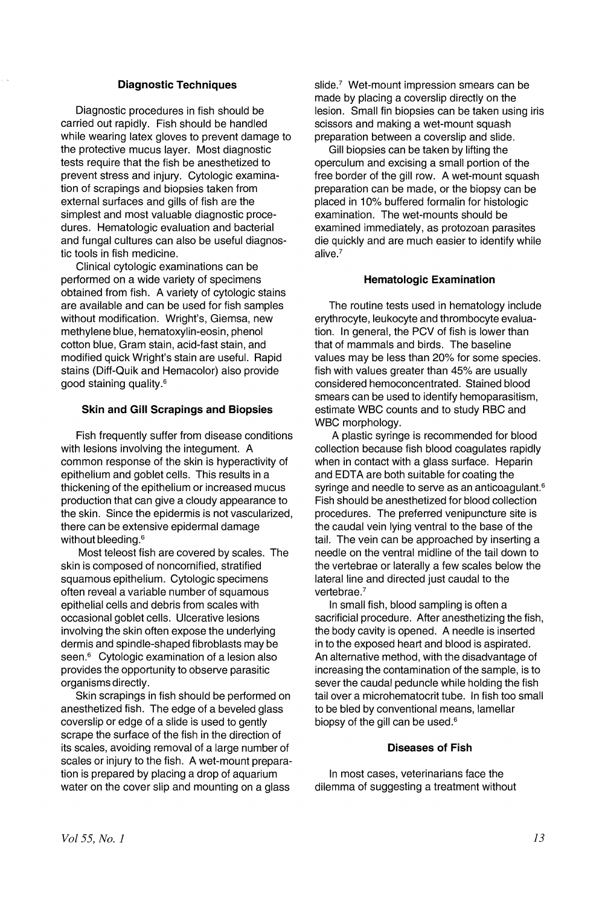# **Diagnostic Techniques**

Diagnostic procedures in fish should be carried out rapidly. Fish should be handled while wearing latex gloves to prevent damage to the protective mucus layer. Most diagnostic tests require that the fish be anesthetized to prevent stress and injury. Cytologic examination of scrapings and biopsies taken from external surfaces and gills of fish are the simplest and most valuable diagnostic procedures. Hematologic evaluation and bacterial and fungal cultures can also be useful diagnostic tools in fish medicine.

Clinical cytologic examinations can be performed on a wide variety of specimens obtained from fish. A variety of cytologic stains are available and can be used for fish samples without modification. Wright's, Giemsa, new methylene blue, hematoxylin-eosin, phenol cotton blue, Gram stain, acid-fast stain, and modified quick Wright's stain are useful. Rapid stains (Diff-Quik and Hemacolor) also provide good staining quality.6

#### **Skin and Gill Scrapings and Biopsies**

Fish frequently suffer from disease conditions with lesions involving the integument. A common response of the skin is hyperactivity of epithelium and goblet cells. This results in a thickening of the epithelium or increased mucus production that can give a cloudy appearance to the skin. Since the epidermis is not vascularized, there can be extensive epidermal damage without bleeding.<sup>6</sup>

Most teleost fish are covered by scales. The skin is composed of noncornified, stratified squamous epithelium. Cytologic specimens often reveal a variable number of squamous epithelial cells and debris from scales with occasional goblet cells. Ulcerative lesions involving the skin often expose the underlying dermis and spindle-shaped fibroblasts may be seen.<sup>6</sup> Cytologic examination of a lesion also provides the opportunity to observe parasitic organisms directly.

Skin scrapings in fish should be performed on anesthetized fish. The edge of a beveled glass coverslip or edge of a slide is used to gently scrape the surface of the fish in the direction of its scales, avoiding removal of a large number of scales or injury to the fish. A wet-mount preparation is prepared by placing a drop of aquarium water on the cover slip and mounting on a glass

slide. $7$  Wet-mount impression smears can be made by placing a coverslip directly on the lesion. Small fin biopsies can be taken using iris scissors and making a wet-mount squash preparation between a coverslip and slide.

Gill biopsies can be taken by lifting the operculum and excising a small portion of the free border of the gill row. A wet-mount squash preparation can be made, or the biopsy can be placed in 10% buffered formalin for histologic examination. The wet-mounts should be examined immediately, as protozoan parasites die quickly and are much easier to identify while alive.?

#### **Hematologic Examination**

The routine tests used in hematology include erythrocyte, leukocyte and thrombocyte evaluation. In general, the PCV of fish is lower than that of mammals and birds. The baseline values may be less than 20% for some species. fish with values greater than 45% are usually considered hemoconcentrated. Stained blood smears can be used to identify hemoparasitism, estimate WBC counts and to study RBC and WBC morphology.

A plastic syringe is recommended for blood collection because fish blood coagulates rapidly when in contact with a glass surface. Heparin and EDTA are both suitable for coating the syringe and needle to serve as an anticoagulant.<sup>6</sup> Fish should be anesthetized for blood collection procedures. The preferred venipuncture site is the caudal vein lying ventral to the base of the tail. The vein can be approached by inserting a needle on the ventral midline of the tail down to the vertebrae or laterally a few scales below the lateral line and directed just caudal to the vertebrae.<sup>7</sup>

In small fish, blood sampling is often a sacrificial procedure. After anesthetizing the fish, the body cavity is opened. A needle is inserted in to the exposed heart and blood is aspirated. An alternative method, with the disadvantage of increasing the contamination of the sample, is to sever the caudal peduncle while holding the fish tail over a microhematocrit tube. In fish too small to be bled by conventional means, lamellar biopsy of the gill can be used.<sup>6</sup>

# **Diseases of Fish**

In most cases, veterinarians face the dilemma of suggesting a treatment without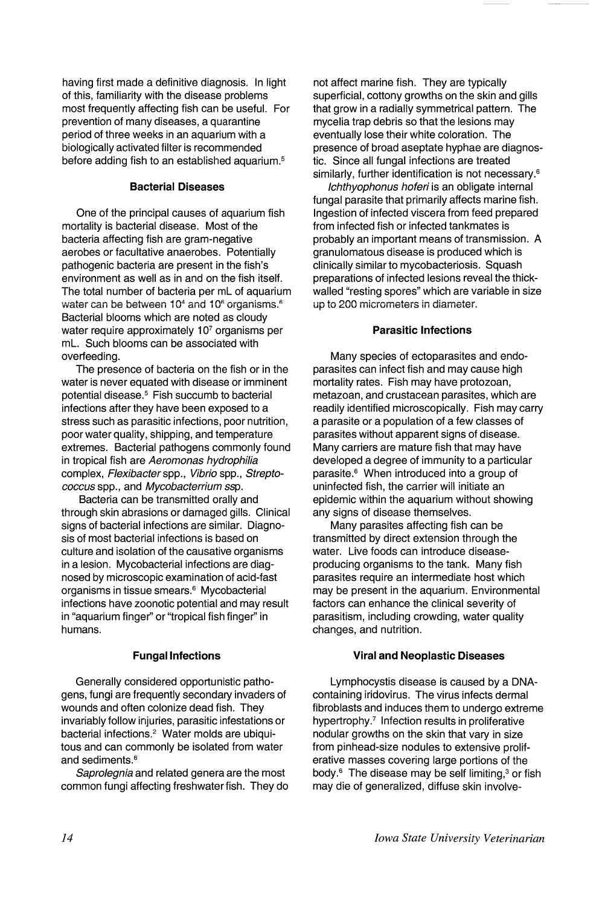having first made a definitive diagnosis. In light of this, familiarity with the disease problems most frequently affecting fish can be useful. For prevention of many diseases, a quarantine period of three weeks in an aquarium with a biologically activated filter is recommended before adding fish to an established aquarium.<sup>5</sup>

# **Bacterial Diseases**

One of the principal causes of aquarium fish mortality is bacterial disease. Most of the bacteria affecting fish are gram-negative aerobes or facultative anaerobes. Potentially pathogenic bacteria are present in the fish's environment as well as in and on the fish itself. The total number of bacteria per mL of aquarium water can be between 10<sup>4</sup> and 10<sup>6</sup> organisms.<sup>6</sup> Bacterial blooms which are noted as cloudy water require approximately 107 organisms per mL. Such blooms can be associated with overfeeding.

The presence of bacteria on the fish or in the water is never equated with disease or imminent potential disease.5 Fish succumb to bacterial infections after they have been exposed to a stress such as parasitic infections, poor nutrition, poor water quality, shipping, and temperature extremes. Bacterial pathogens commonly found in tropical fish are Aeromonas hydrophilia complex, Flexibacter spp., Vibrio spp., Streptococcus spp., and Mycobacterrium ssp.

Bacteria can be transmitted orally and through skin abrasions or damaged gills. Clinical signs of bacterial infections are similar. Diagnosis of most bacterial infections is based on culture and isolation of the causative organisms in a lesion. Mycobacterial infections are diagnosed by microscopic examination of acid-fast organisms in tissue smears.6 Mycobacterial infections have zoonotic potential and may result in "aquarium finger" or "tropical fish finger" in humans.

# Fungal Infections

Generally considered opportunistic pathogens, fungi are frequently secondary invaders of wounds and often colonize dead fish. They invariably follow injuries, parasitic infestations or bacterial infections.<sup>2</sup> Water molds are ubiquitous and can commonly be isolated from water and sediments.<sup>6</sup>

Saprolegnia and related genera are the most common fungi affecting freshwater fish. They do not affect marine fish. They are typically superficial, cottony growths on the skin and gills that grow in a radially symmetrical pattern. The mycelia trap debris so that the lesions may eventually lose their white coloration. The presence of broad aseptate hyphae are diagnostic. Since all fungal infections are treated similarly, further identification is not necessary.<sup>6</sup>

Ichthyophonus hoferi is an obligate internal fungal parasite that primarily affects marine fish. Ingestion of infected viscera from feed prepared from infected fish or infected tankmates is probably an important means of transmission. A granulomatous disease is produced which is clinically similar to mycobacteriosis. Squash preparations of infected lesions reveal the thickwalled "resting spores" which are variable in size up to 200 micrometers in diameter.

# **Parasitic Infections**

Many species of ectoparasites and endoparasites can infect fish and may cause high mortality rates. Fish may have protozoan, metazoan, and crustacean parasites, which are readily identified microscopically. Fish may carry a parasite or a population of a few classes of parasites without apparent signs of disease. Many carriers are mature fish that may have developed a degree of immunity to a particular parasite.6 When introduced into a group of uninfected fish, the carrier will initiate an epidemic within the aquarium without showing any signs of disease themselves.

Many parasites affecting fish can be transmitted by direct extension through the water. Live foods can introduce diseaseproducing organisms to the tank. Many fish parasites require an intermediate host which may be present in the aquarium. Environmental factors can enhance the clinical severity of parasitism, including crowding, water quality changes, and nutrition.

#### **Viral and Neoplastic Diseases**

Lymphocystis disease is caused by a DNAcontaining iridovirus. The virus infects dermal fibroblasts and induces them to undergo extreme hypertrophy.? Infection results in proliferative nodular growths on the skin that vary in size from pinhead-size nodules to extensive proliferative masses covering large portions of the body. $6$  The disease may be self limiting, $3$  or fish may die of generalized, diffuse skin involve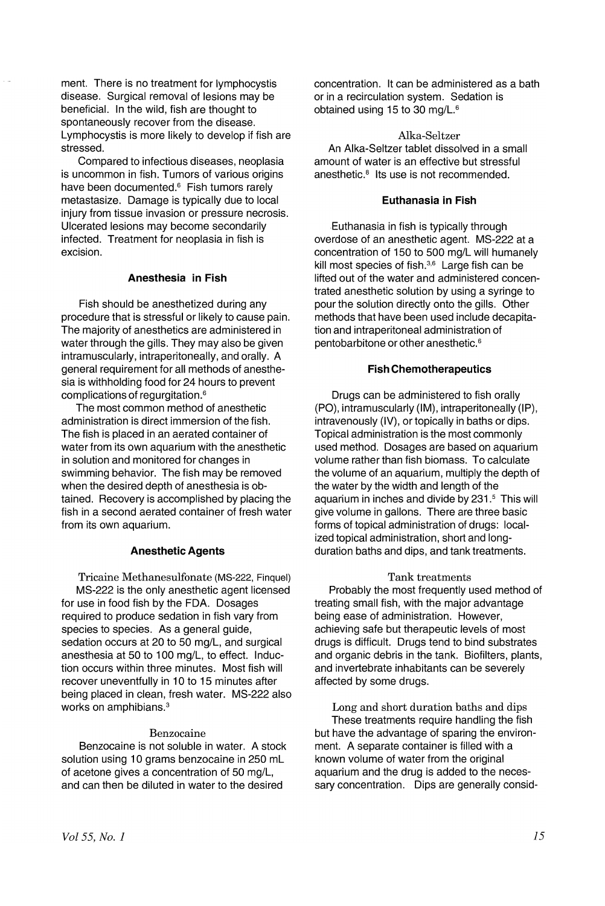ment. There is no treatment for Iymphocystis disease. Surgical removal of lesions may be beneficial. In the wild, fish are thought to spontaneously recover from the disease. Lymphocystis is more likely to develop if fish are stressed.

Compared to infectious diseases, neoplasia is uncommon in fish. Tumors of various origins have been documented.<sup>6</sup> Fish tumors rarely metastasize. Damage is typically due to local injury from tissue invasion or pressure necrosis. Ulcerated lesions may become secondarily infected. Treatment for neoplasia in fish is excision.

# **Anesthesia in Fish**

Fish should be anesthetized during any procedure that is stressful or likely to cause pain. The majority of anesthetics are administered in water through the gills. They may also be given intramuscularly, intraperitoneally, and orally. A general requirement for all methods of anesthesia is withholding food for 24 hours to prevent complications of regurgitation.6

The most common method of anesthetic administration is direct immersion of the fish. The fish is placed in an aerated container of water from its own aquarium with the anesthetic in solution and monitored for changes in swimming behavior. The fish may be removed when the desired depth of anesthesia is obtained. Recovery is accomplished by placing the fish in a second aerated container of fresh water from its own aquarium.

# **Anesthetic Agents**

Tricaine Methanesulfonate (MS-222, Finquel) MS-222 is the only anesthetic agent licensed for use in food fish by the FDA. Dosages required to produce sedation in fish vary from species to species. As a general guide, sedation occurs at 20 to 50 mg/L, and surgical anesthesia at 50 to 100 mg/L, to effect. Induction occurs within three minutes. Most fish will recover uneventfully in 10 to 15 minutes after being placed in clean, fresh water. MS-222 also works on amphibians.<sup>3</sup>

# Benzocaine

Benzocaine is not soluble in water. A stock solution using 10 grams benzocaine in 250 mL of acetone gives a concentration of 50 mg/L, and can then be diluted in water to the desired

concentration. It can be administered as a bath or in a recirculation system. Sedation is obtained using 15 to 30 mg/L.6

#### Alka-Seltzer

An Alka-Seltzer tablet dissolved in a small amount of water is an effective but stressful anesthetic.<sup>8</sup> Its use is not recommended.

# **Euthanasia in Fish**

.Euthanasia in fish is typically through overdose of an anesthetic agent. MS-222 at a concentration of 150 to 500 mg/L will humanely kill most species of fish. $3,6$  Large fish can be lifted out of the water and administered concentrated anesthetic solution by using a syringe to pour the solution directly onto the gills. Other methods that have been used include decapitation and intraperitoneal administration of pentobarbitone or other anesthetic.6

# **Fish Chemotherapeutics**

Drugs can be administered to fish orally (PO), intramuscularly (1M), intraperitoneally (IP), intravenously (IV), or topically in baths or dips. Topical administration is the most commonly used method. Dosages are based on aquarium volume rather than fish biomass. To calculate the volume of an aquarium, multiply the depth of the water by the width and length of the aquarium in inches and divide by 231.<sup>5</sup> This will give volume in gallons. There are three basic forms of topical administration of drugs: localized topical administration, short and longduration baths and dips, and tank treatments.

#### Tank treatments

Probably the most frequently used method of treating small fish, with the major advantage being ease of administration. However, achieving safe but therapeutic levels of most drugs is difficult. Drugs tend to bind substrates and organic debris in the tank. Biofilters, plants, and invertebrate inhabitants can be severely affected by some drugs.

Long and short duration baths and dips These treatments require handling the fish but have the advantage of sparing the environment. A separate container is filled with a known volume of water from the original aquarium and the drug is added to the necessary concentration. Dips are generally consid